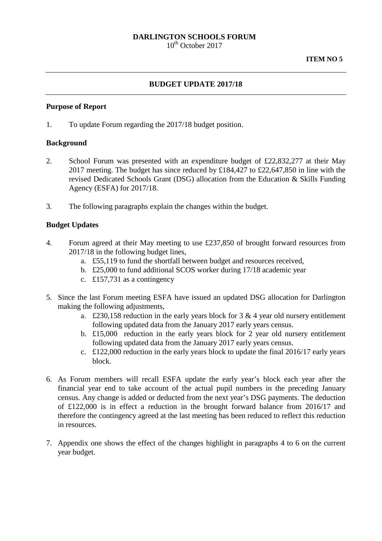### **DARLINGTON SCHOOLS FORUM**

 $10^{th}$  October 2017

### **BUDGET UPDATE 2017/18**

#### **Purpose of Report**

1. To update Forum regarding the 2017/18 budget position.

#### **Background**

- 2. School Forum was presented with an expenditure budget of £22,832,277 at their May 2017 meeting. The budget has since reduced by £184,427 to £22,647,850 in line with the revised Dedicated Schools Grant (DSG) allocation from the Education & Skills Funding Agency (ESFA) for 2017/18.
- 3. The following paragraphs explain the changes within the budget.

### **Budget Updates**

- 4. Forum agreed at their May meeting to use £237,850 of brought forward resources from 2017/18 in the following budget lines,
	- a. £55,119 to fund the shortfall between budget and resources received,
	- b. £25,000 to fund additional SCOS worker during 17/18 academic year
	- c. £157,731 as a contingency
- 5. Since the last Forum meeting ESFA have issued an updated DSG allocation for Darlington making the following adjustments,
	- a. £230,158 reduction in the early years block for  $3 \& 4$  year old nursery entitlement following updated data from the January 2017 early years census.
	- b. £15,000 reduction in the early years block for 2 year old nursery entitlement following updated data from the January 2017 early years census.
	- c. £122,000 reduction in the early years block to update the final 2016/17 early years block.
- 6. As Forum members will recall ESFA update the early year's block each year after the financial year end to take account of the actual pupil numbers in the preceding January census. Any change is added or deducted from the next year's DSG payments. The deduction of £122,000 is in effect a reduction in the brought forward balance from 2016/17 and therefore the contingency agreed at the last meeting has been reduced to reflect this reduction in resources.
- 7. Appendix one shows the effect of the changes highlight in paragraphs 4 to 6 on the current year budget.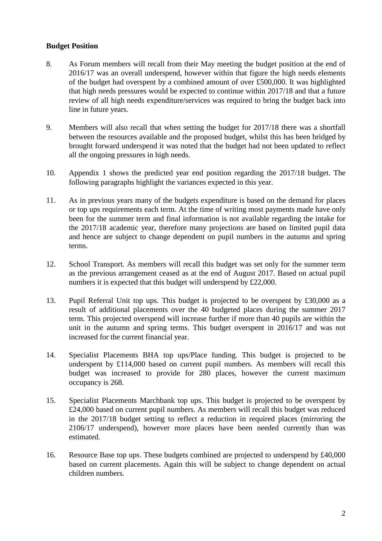## **Budget Position**

- 8. As Forum members will recall from their May meeting the budget position at the end of 2016/17 was an overall underspend, however within that figure the high needs elements of the budget had overspent by a combined amount of over £500,000. It was highlighted that high needs pressures would be expected to continue within 2017/18 and that a future review of all high needs expenditure/services was required to bring the budget back into line in future years.
- 9. Members will also recall that when setting the budget for 2017/18 there was a shortfall between the resources available and the proposed budget, whilst this has been bridged by brought forward underspend it was noted that the budget had not been updated to reflect all the ongoing pressures in high needs.
- 10. Appendix 1 shows the predicted year end position regarding the 2017/18 budget. The following paragraphs highlight the variances expected in this year.
- 11. As in previous years many of the budgets expenditure is based on the demand for places or top ups requirements each term. At the time of writing most payments made have only been for the summer term and final information is not available regarding the intake for the 2017/18 academic year, therefore many projections are based on limited pupil data and hence are subject to change dependent on pupil numbers in the autumn and spring terms.
- 12. School Transport. As members will recall this budget was set only for the summer term as the previous arrangement ceased as at the end of August 2017. Based on actual pupil numbers it is expected that this budget will underspend by £22,000.
- 13. Pupil Referral Unit top ups. This budget is projected to be overspent by £30,000 as a result of additional placements over the 40 budgeted places during the summer 2017 term. This projected overspend will increase further if more than 40 pupils are within the unit in the autumn and spring terms. This budget overspent in 2016/17 and was not increased for the current financial year.
- 14. Specialist Placements BHA top ups/Place funding. This budget is projected to be underspent by £114,000 based on current pupil numbers. As members will recall this budget was increased to provide for 280 places, however the current maximum occupancy is 268.
- 15. Specialist Placements Marchbank top ups. This budget is projected to be overspent by £24,000 based on current pupil numbers. As members will recall this budget was reduced in the 2017/18 budget setting to reflect a reduction in required places (mirroring the 2106/17 underspend), however more places have been needed currently than was estimated.
- 16. Resource Base top ups. These budgets combined are projected to underspend by £40,000 based on current placements. Again this will be subject to change dependent on actual children numbers.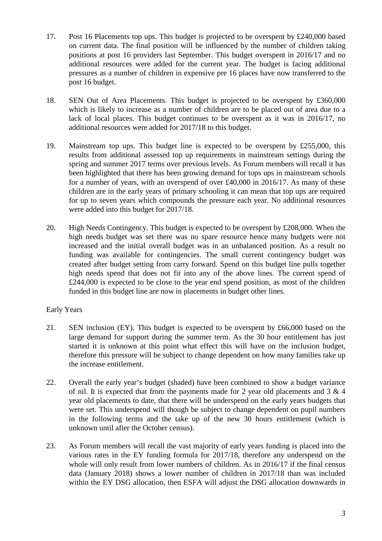- 17. Post 16 Placements top ups. This budget is projected to be overspent by £240,000 based on current data. The final position will be influenced by the number of children taking positions at post 16 providers last September. This budget overspent in 2016/17 and no additional resources were added for the current year. The budget is facing additional pressures as a number of children in expensive pre 16 places have now transferred to the post 16 budget.
- 18. SEN Out of Area Placements. This budget is projected to be overspent by £360,000 which is likely to increase as a number of children are to be placed out of area due to a lack of local places. This budget continues to be overspent as it was in 2016/17, no additional resources were added for 2017/18 to this budget.
- 19. Mainstream top ups. This budget line is expected to be overspent by £255,000, this results from additional assessed top up requirements in mainstream settings during the spring and summer 2017 terms over previous levels. As Forum members will recall it has been highlighted that there has been growing demand for tops ups in mainstream schools for a number of years, with an overspend of over £40,000 in 2016/17. As many of these children are in the early years of primary schooling it can mean that top ups are required for up to seven years which compounds the pressure each year. No additional resources were added into this budget for 2017/18.
- 20. High Needs Contingency. This budget is expected to be overspent by £208,000. When the high needs budget was set there was no spare resource hence many budgets were not increased and the initial overall budget was in an unbalanced position. As a result no funding was available for contingencies. The small current contingency budget was created after budget setting from carry forward. Spend on this budget line pulls together high needs spend that does not fit into any of the above lines. The current spend of £244,000 is expected to be close to the year end spend position, as most of the children funded in this budget line are now in placements in budget other lines.

# Early Years

- 21. SEN inclusion (EY). This budget is expected to be overspent by £66,000 based on the large demand for support during the summer term. As the 30 hour entitlement has just started it is unknown at this point what effect this will have on the inclusion budget, therefore this pressure will be subject to change dependent on how many families take up the increase entitlement.
- 22. Overall the early year's budget (shaded) have been combined to show a budget variance of nil. It is expected that from the payments made for 2 year old placements and 3 & 4 year old placements to date, that there will be underspend on the early years budgets that were set. This underspend will though be subject to change dependent on pupil numbers in the following terms and the take up of the new 30 hours entitlement (which is unknown until after the October census).
- 23. As Forum members will recall the vast majority of early years funding is placed into the various rates in the EY funding formula for 2017/18, therefore any underspend on the whole will only result from lower numbers of children. As in 2016/17 if the final census data (January 2018) shows a lower number of children in 2017/18 than was included within the EY DSG allocation, then ESFA will adjust the DSG allocation downwards in